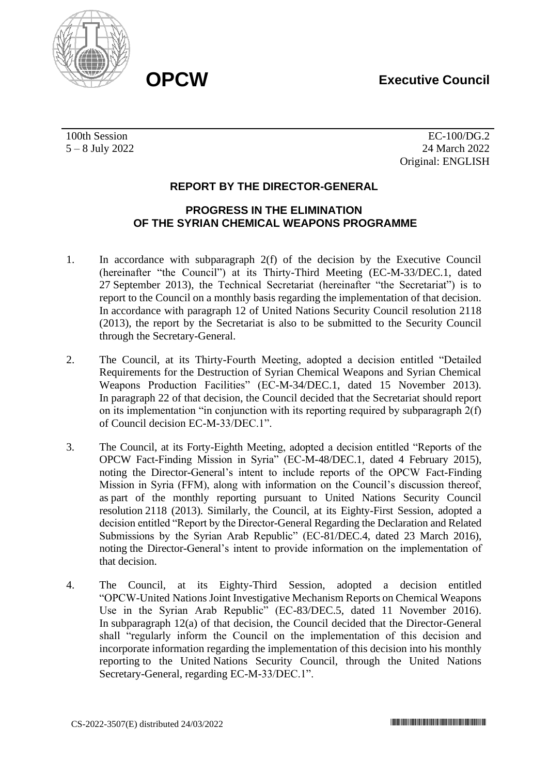# **OPCW Executive Council**



100th Session 5 – 8 July 2022

EC-100/DG.2 24 March 2022 Original: ENGLISH

# **REPORT BY THE DIRECTOR-GENERAL**

## **PROGRESS IN THE ELIMINATION OF THE SYRIAN CHEMICAL WEAPONS PROGRAMME**

- 1. In accordance with subparagraph 2(f) of the decision by the Executive Council (hereinafter "the Council") at its Thirty-Third Meeting (EC-M-33/DEC.1, dated 27 September 2013), the Technical Secretariat (hereinafter "the Secretariat") is to report to the Council on a monthly basis regarding the implementation of that decision. In accordance with paragraph 12 of United Nations Security Council resolution 2118 (2013), the report by the Secretariat is also to be submitted to the Security Council through the Secretary-General.
- 2. The Council, at its Thirty-Fourth Meeting, adopted a decision entitled "Detailed Requirements for the Destruction of Syrian Chemical Weapons and Syrian Chemical Weapons Production Facilities" (EC-M-34/DEC.1, dated 15 November 2013). In paragraph 22 of that decision, the Council decided that the Secretariat should report on its implementation "in conjunction with its reporting required by subparagraph 2(f) of Council decision EC-M-33/DEC.1".
- 3. The Council, at its Forty-Eighth Meeting, adopted a decision entitled "Reports of the OPCW Fact-Finding Mission in Syria" (EC-M-48/DEC.1, dated 4 February 2015), noting the Director-General's intent to include reports of the OPCW Fact-Finding Mission in Syria (FFM), along with information on the Council's discussion thereof, as part of the monthly reporting pursuant to United Nations Security Council resolution 2118 (2013). Similarly, the Council, at its Eighty-First Session, adopted a decision entitled "Report by the Director-General Regarding the Declaration and Related Submissions by the Syrian Arab Republic" (EC-81/DEC.4, dated 23 March 2016), noting the Director-General's intent to provide information on the implementation of that decision.
- 4. The Council, at its Eighty-Third Session, adopted a decision entitled "OPCW-United Nations Joint Investigative Mechanism Reports on Chemical Weapons Use in the Syrian Arab Republic" (EC-83/DEC.5, dated 11 November 2016). In subparagraph 12(a) of that decision, the Council decided that the Director-General shall "regularly inform the Council on the implementation of this decision and incorporate information regarding the implementation of this decision into his monthly reporting to the United Nations Security Council, through the United Nations Secretary-General, regarding EC-M-33/DEC.1".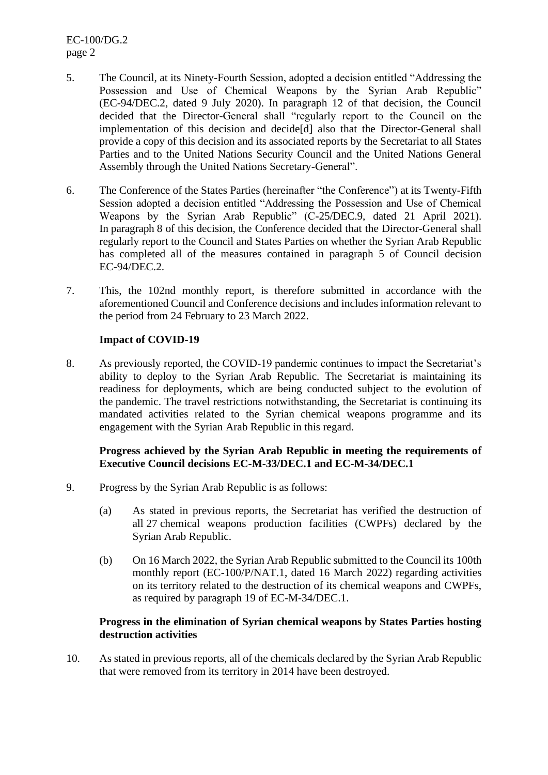EC-100/DG.2 page 2

- 5. The Council, at its Ninety-Fourth Session, adopted a decision entitled "Addressing the Possession and Use of Chemical Weapons by the Syrian Arab Republic" (EC-94/DEC.2, dated 9 July 2020). In paragraph 12 of that decision, the Council decided that the Director-General shall "regularly report to the Council on the implementation of this decision and decide[d] also that the Director-General shall provide a copy of this decision and its associated reports by the Secretariat to all States Parties and to the United Nations Security Council and the United Nations General Assembly through the United Nations Secretary-General".
- 6. The Conference of the States Parties (hereinafter "the Conference") at its Twenty-Fifth Session adopted a decision entitled "Addressing the Possession and Use of Chemical Weapons by the Syrian Arab Republic" (C-25/DEC.9, dated 21 April 2021). In paragraph 8 of this decision, the Conference decided that the Director-General shall regularly report to the Council and States Parties on whether the Syrian Arab Republic has completed all of the measures contained in paragraph 5 of Council decision EC-94/DEC.2.
- 7. This, the 102nd monthly report, is therefore submitted in accordance with the aforementioned Council and Conference decisions and includes information relevant to the period from 24 February to 23 March 2022.

## **Impact of COVID-19**

8. As previously reported, the COVID-19 pandemic continues to impact the Secretariat's ability to deploy to the Syrian Arab Republic. The Secretariat is maintaining its readiness for deployments, which are being conducted subject to the evolution of the pandemic. The travel restrictions notwithstanding, the Secretariat is continuing its mandated activities related to the Syrian chemical weapons programme and its engagement with the Syrian Arab Republic in this regard.

## **Progress achieved by the Syrian Arab Republic in meeting the requirements of Executive Council decisions EC-M-33/DEC.1 and EC-M-34/DEC.1**

- 9. Progress by the Syrian Arab Republic is as follows:
	- (a) As stated in previous reports, the Secretariat has verified the destruction of all 27 chemical weapons production facilities (CWPFs) declared by the Syrian Arab Republic.
	- (b) On 16 March 2022, the Syrian Arab Republic submitted to the Council its 100th monthly report (EC-100/P/NAT.1, dated 16 March 2022) regarding activities on its territory related to the destruction of its chemical weapons and CWPFs, as required by paragraph 19 of EC-M-34/DEC.1.

## **Progress in the elimination of Syrian chemical weapons by States Parties hosting destruction activities**

10. As stated in previous reports, all of the chemicals declared by the Syrian Arab Republic that were removed from its territory in 2014 have been destroyed.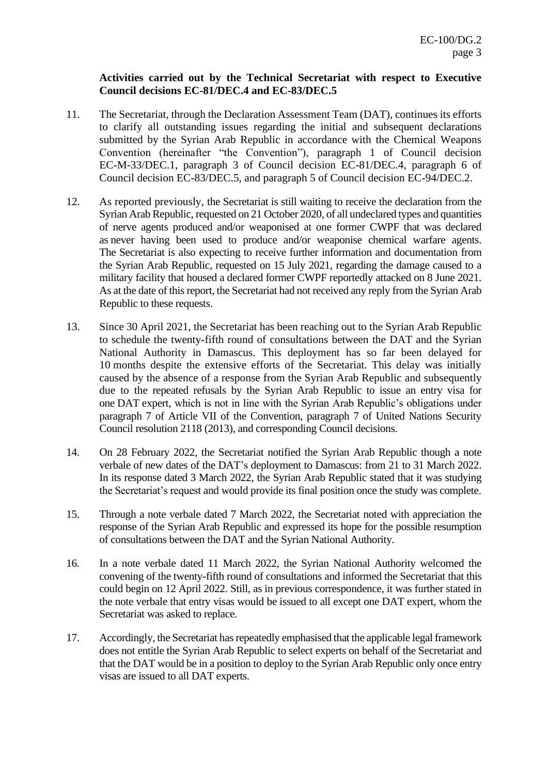## **Activities carried out by the Technical Secretariat with respect to Executive Council decisions EC-81/DEC.4 and EC-83/DEC.5**

- 11. The Secretariat, through the Declaration Assessment Team (DAT), continues its efforts to clarify all outstanding issues regarding the initial and subsequent declarations submitted by the Syrian Arab Republic in accordance with the Chemical Weapons Convention (hereinafter "the Convention"), paragraph 1 of Council decision EC-M-33/DEC.1, paragraph 3 of Council decision EC-81/DEC.4, paragraph 6 of Council decision EC-83/DEC.5, and paragraph 5 of Council decision EC-94/DEC.2.
- 12. As reported previously, the Secretariat is still waiting to receive the declaration from the Syrian Arab Republic, requested on 21 October 2020, of all undeclared types and quantities of nerve agents produced and/or weaponised at one former CWPF that was declared as never having been used to produce and/or weaponise chemical warfare agents. The Secretariat is also expecting to receive further information and documentation from the Syrian Arab Republic, requested on 15 July 2021, regarding the damage caused to a military facility that housed a declared former CWPF reportedly attacked on 8 June 2021. As at the date of this report, the Secretariat had not received any reply from the Syrian Arab Republic to these requests.
- 13. Since 30 April 2021, the Secretariat has been reaching out to the Syrian Arab Republic to schedule the twenty-fifth round of consultations between the DAT and the Syrian National Authority in Damascus. This deployment has so far been delayed for 10 months despite the extensive efforts of the Secretariat. This delay was initially caused by the absence of a response from the Syrian Arab Republic and subsequently due to the repeated refusals by the Syrian Arab Republic to issue an entry visa for one DAT expert, which is not in line with the Syrian Arab Republic's obligations under paragraph 7 of Article VII of the Convention, paragraph 7 of United Nations Security Council resolution 2118 (2013), and corresponding Council decisions.
- 14. On 28 February 2022, the Secretariat notified the Syrian Arab Republic though a note verbale of new dates of the DAT's deployment to Damascus: from 21 to 31 March 2022. In its response dated 3 March 2022, the Syrian Arab Republic stated that it was studying the Secretariat's request and would provide its final position once the study was complete.
- 15. Through a note verbale dated 7 March 2022, the Secretariat noted with appreciation the response of the Syrian Arab Republic and expressed its hope for the possible resumption of consultations between the DAT and the Syrian National Authority.
- 16. In a note verbale dated 11 March 2022, the Syrian National Authority welcomed the convening of the twenty-fifth round of consultations and informed the Secretariat that this could begin on 12 April 2022. Still, as in previous correspondence, it was further stated in the note verbale that entry visas would be issued to all except one DAT expert, whom the Secretariat was asked to replace.
- 17. Accordingly, the Secretariat has repeatedly emphasised that the applicable legal framework does not entitle the Syrian Arab Republic to select experts on behalf of the Secretariat and that the DAT would be in a position to deploy to the Syrian Arab Republic only once entry visas are issued to all DAT experts.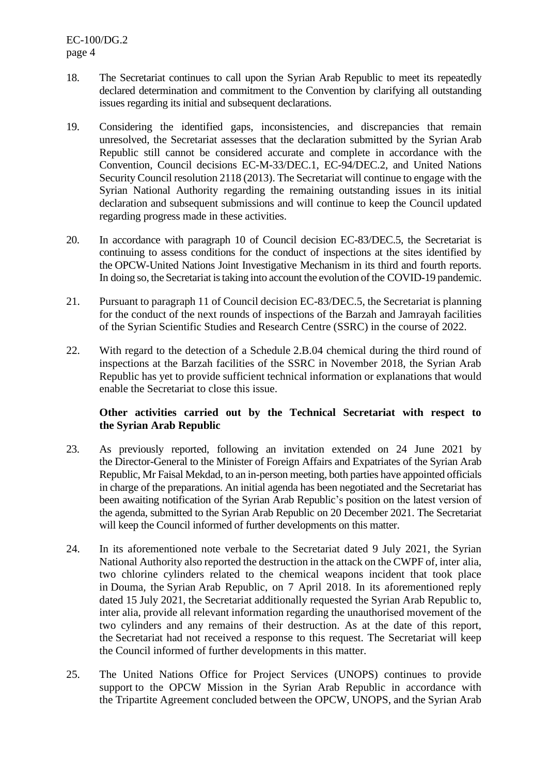EC-100/DG.2 page 4

- 18. The Secretariat continues to call upon the Syrian Arab Republic to meet its repeatedly declared determination and commitment to the Convention by clarifying all outstanding issues regarding its initial and subsequent declarations.
- 19. Considering the identified gaps, inconsistencies, and discrepancies that remain unresolved, the Secretariat assesses that the declaration submitted by the Syrian Arab Republic still cannot be considered accurate and complete in accordance with the Convention, Council decisions EC-M-33/DEC.1, EC-94/DEC.2, and United Nations Security Council resolution 2118 (2013). The Secretariat will continue to engage with the Syrian National Authority regarding the remaining outstanding issues in its initial declaration and subsequent submissions and will continue to keep the Council updated regarding progress made in these activities.
- 20. In accordance with paragraph 10 of Council decision EC-83/DEC.5, the Secretariat is continuing to assess conditions for the conduct of inspections at the sites identified by the OPCW-United Nations Joint Investigative Mechanism in its third and fourth reports. In doing so, the Secretariat is taking into account the evolution of the COVID-19 pandemic.
- 21. Pursuant to paragraph 11 of Council decision EC-83/DEC.5, the Secretariat is planning for the conduct of the next rounds of inspections of the Barzah and Jamrayah facilities of the Syrian Scientific Studies and Research Centre (SSRC) in the course of 2022.
- 22. With regard to the detection of a Schedule 2.B.04 chemical during the third round of inspections at the Barzah facilities of the SSRC in November 2018, the Syrian Arab Republic has yet to provide sufficient technical information or explanations that would enable the Secretariat to close this issue.

# **Other activities carried out by the Technical Secretariat with respect to the Syrian Arab Republic**

- 23. As previously reported, following an invitation extended on 24 June 2021 by the Director-General to the Minister of Foreign Affairs and Expatriates of the Syrian Arab Republic, Mr Faisal Mekdad, to an in-person meeting, both parties have appointed officials in charge of the preparations. An initial agenda has been negotiated and the Secretariat has been awaiting notification of the Syrian Arab Republic's position on the latest version of the agenda, submitted to the Syrian Arab Republic on 20 December 2021. The Secretariat will keep the Council informed of further developments on this matter.
- 24. In its aforementioned note verbale to the Secretariat dated 9 July 2021, the Syrian National Authority also reported the destruction in the attack on the CWPF of, inter alia, two chlorine cylinders related to the chemical weapons incident that took place in Douma, the Syrian Arab Republic, on 7 April 2018. In its aforementioned reply dated 15 July 2021, the Secretariat additionally requested the Syrian Arab Republic to, inter alia, provide all relevant information regarding the unauthorised movement of the two cylinders and any remains of their destruction. As at the date of this report, the Secretariat had not received a response to this request. The Secretariat will keep the Council informed of further developments in this matter.
- 25. The United Nations Office for Project Services (UNOPS) continues to provide support to the OPCW Mission in the Syrian Arab Republic in accordance with the Tripartite Agreement concluded between the OPCW, UNOPS, and the Syrian Arab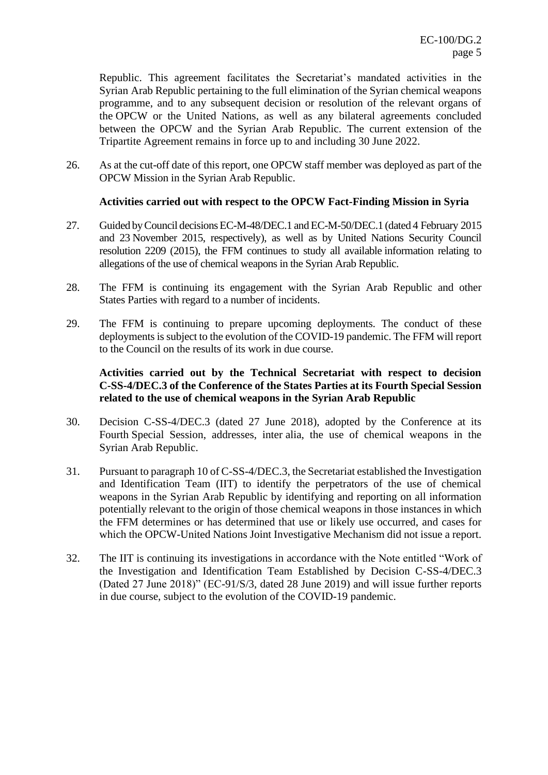Republic. This agreement facilitates the Secretariat's mandated activities in the Syrian Arab Republic pertaining to the full elimination of the Syrian chemical weapons programme, and to any subsequent decision or resolution of the relevant organs of the OPCW or the United Nations, as well as any bilateral agreements concluded between the OPCW and the Syrian Arab Republic. The current extension of the Tripartite Agreement remains in force up to and including 30 June 2022.

26. As at the cut-off date of this report, one OPCW staff member was deployed as part of the OPCW Mission in the Syrian Arab Republic.

#### **Activities carried out with respect to the OPCW Fact-Finding Mission in Syria**

- 27. Guided by Council decisions EC-M-48/DEC.1 and EC-M-50/DEC.1 (dated 4 February 2015 and 23 November 2015, respectively), as well as by United Nations Security Council resolution 2209 (2015), the FFM continues to study all available information relating to allegations of the use of chemical weapons in the Syrian Arab Republic.
- 28. The FFM is continuing its engagement with the Syrian Arab Republic and other States Parties with regard to a number of incidents.
- 29. The FFM is continuing to prepare upcoming deployments. The conduct of these deployments is subject to the evolution of the COVID-19 pandemic. The FFM will report to the Council on the results of its work in due course.

## **Activities carried out by the Technical Secretariat with respect to decision C-SS-4/DEC.3 of the Conference of the States Parties at its Fourth Special Session related to the use of chemical weapons in the Syrian Arab Republic**

- 30. Decision C-SS-4/DEC.3 (dated 27 June 2018), adopted by the Conference at its Fourth Special Session, addresses, inter alia, the use of chemical weapons in the Syrian Arab Republic.
- 31. Pursuant to paragraph 10 of C-SS-4/DEC.3, the Secretariat established the Investigation and Identification Team (IIT) to identify the perpetrators of the use of chemical weapons in the Syrian Arab Republic by identifying and reporting on all information potentially relevant to the origin of those chemical weapons in those instances in which the FFM determines or has determined that use or likely use occurred, and cases for which the OPCW-United Nations Joint Investigative Mechanism did not issue a report.
- 32. The IIT is continuing its investigations in accordance with the Note entitled "Work of the Investigation and Identification Team Established by Decision C-SS-4/DEC.3 (Dated 27 June 2018)" (EC-91/S/3, dated 28 June 2019) and will issue further reports in due course, subject to the evolution of the COVID-19 pandemic.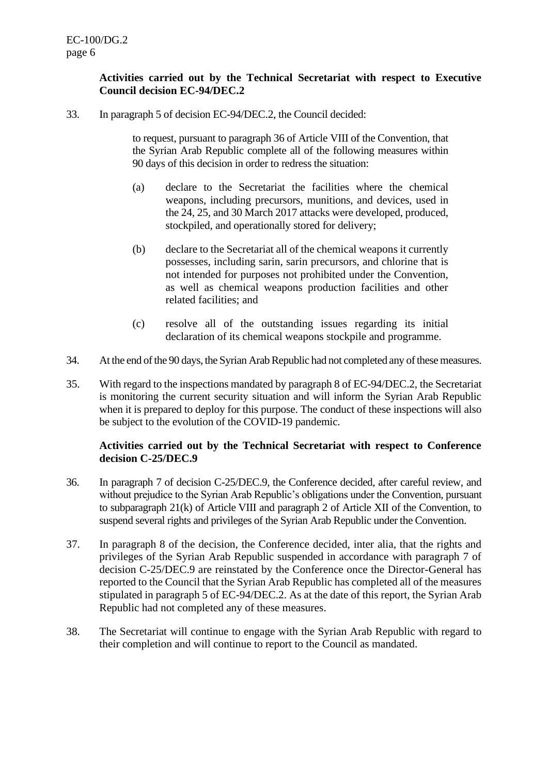# **Activities carried out by the Technical Secretariat with respect to Executive Council decision EC-94/DEC.2**

33. In paragraph 5 of decision EC-94/DEC.2, the Council decided:

to request, pursuant to paragraph 36 of Article VIII of the Convention, that the Syrian Arab Republic complete all of the following measures within 90 days of this decision in order to redress the situation:

- (a) declare to the Secretariat the facilities where the chemical weapons, including precursors, munitions, and devices, used in the 24, 25, and 30 March 2017 attacks were developed, produced, stockpiled, and operationally stored for delivery;
- (b) declare to the Secretariat all of the chemical weapons it currently possesses, including sarin, sarin precursors, and chlorine that is not intended for purposes not prohibited under the Convention, as well as chemical weapons production facilities and other related facilities; and
- (c) resolve all of the outstanding issues regarding its initial declaration of its chemical weapons stockpile and programme.
- 34. At the end of the 90 days, the Syrian Arab Republic had not completed any of these measures.
- 35. With regard to the inspections mandated by paragraph 8 of EC-94/DEC.2, the Secretariat is monitoring the current security situation and will inform the Syrian Arab Republic when it is prepared to deploy for this purpose. The conduct of these inspections will also be subject to the evolution of the COVID-19 pandemic.

## **Activities carried out by the Technical Secretariat with respect to Conference decision C-25/DEC.9**

- 36. In paragraph 7 of decision C-25/DEC.9, the Conference decided, after careful review, and without prejudice to the Syrian Arab Republic's obligations under the Convention, pursuant to subparagraph 21(k) of Article VIII and paragraph 2 of Article XII of the Convention, to suspend several rights and privileges of the Syrian Arab Republic under the Convention.
- 37. In paragraph 8 of the decision, the Conference decided, inter alia, that the rights and privileges of the Syrian Arab Republic suspended in accordance with paragraph 7 of decision C-25/DEC.9 are reinstated by the Conference once the Director-General has reported to the Council that the Syrian Arab Republic has completed all of the measures stipulated in paragraph 5 of EC-94/DEC.2. As at the date of this report, the Syrian Arab Republic had not completed any of these measures.
- 38. The Secretariat will continue to engage with the Syrian Arab Republic with regard to their completion and will continue to report to the Council as mandated.